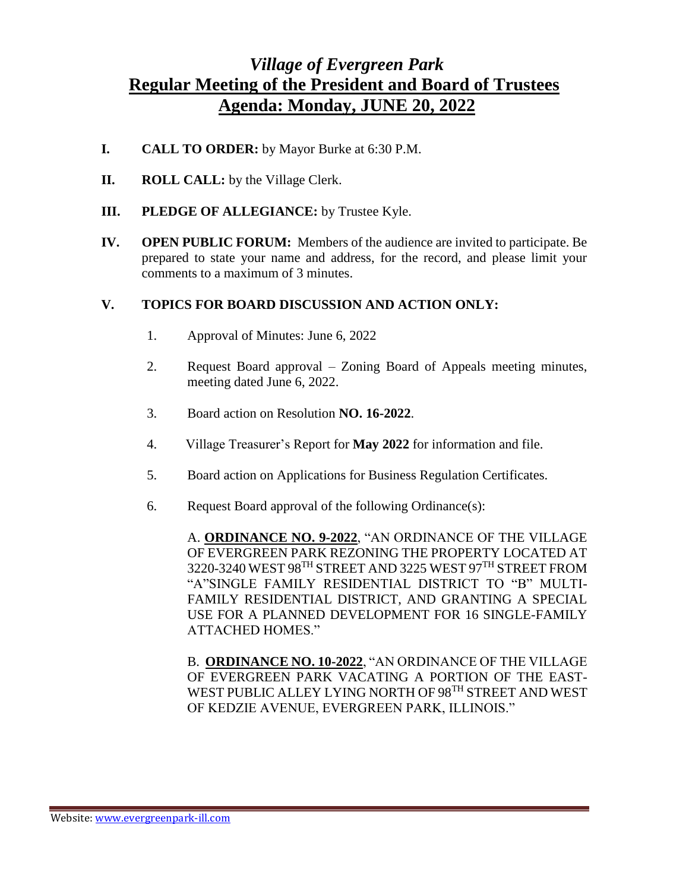## *Village of Evergreen Park* **Regular Meeting of the President and Board of Trustees Agenda: Monday, JUNE 20, 2022**

- **I. CALL TO ORDER:** by Mayor Burke at 6:30 P.M.
- **II. ROLL CALL:** by the Village Clerk.
- **III. PLEDGE OF ALLEGIANCE:** by Trustee Kyle.
- **IV. OPEN PUBLIC FORUM:** Members of the audience are invited to participate. Be prepared to state your name and address, for the record, and please limit your comments to a maximum of 3 minutes.

## **V. TOPICS FOR BOARD DISCUSSION AND ACTION ONLY:**

- 1. Approval of Minutes: June 6, 2022
- 2. Request Board approval Zoning Board of Appeals meeting minutes, meeting dated June 6, 2022.
- 3. Board action on Resolution **NO. 16-2022**.
- 4. Village Treasurer's Report for **May 2022** for information and file.
- 5. Board action on Applications for Business Regulation Certificates.
- 6. Request Board approval of the following Ordinance(s):

A. **ORDINANCE NO. 9-2022**, "AN ORDINANCE OF THE VILLAGE OF EVERGREEN PARK REZONING THE PROPERTY LOCATED AT 3220-3240 WEST 98TH STREET AND 3225 WEST 97TH STREET FROM "A"SINGLE FAMILY RESIDENTIAL DISTRICT TO "B" MULTI-FAMILY RESIDENTIAL DISTRICT, AND GRANTING A SPECIAL USE FOR A PLANNED DEVELOPMENT FOR 16 SINGLE-FAMILY ATTACHED HOMES."

B. **ORDINANCE NO. 10-2022**, "AN ORDINANCE OF THE VILLAGE OF EVERGREEN PARK VACATING A PORTION OF THE EAST-WEST PUBLIC ALLEY LYING NORTH OF 98<sup>TH</sup> STREET AND WEST OF KEDZIE AVENUE, EVERGREEN PARK, ILLINOIS."